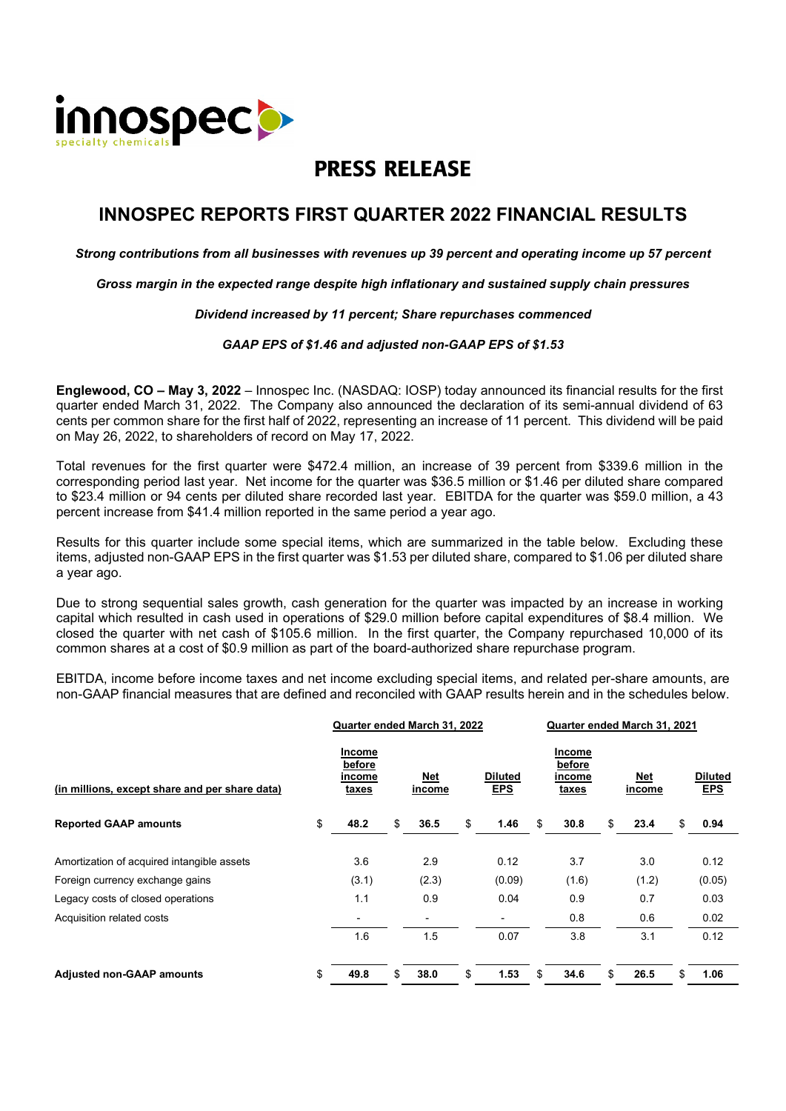

# **PRESS RELEASE**

## **INNOSPEC REPORTS FIRST QUARTER 2022 FINANCIAL RESULTS**

*Strong contributions from all businesses with revenues up 39 percent and operating income up 57 percent*

*Gross margin in the expected range despite high inflationary and sustained supply chain pressures*

#### *Dividend increased by 11 percent; Share repurchases commenced*

#### *GAAP EPS of \$1.46 and adjusted non-GAAP EPS of \$1.53*

**Englewood, CO – May 3, 2022** – Innospec Inc. (NASDAQ: IOSP) today announced its financial results for the first quarter ended March 31, 2022. The Company also announced the declaration of its semi-annual dividend of 63 cents per common share for the first half of 2022, representing an increase of 11 percent. This dividend will be paid on May 26, 2022, to shareholders of record on May 17, 2022.

Total revenues for the first quarter were \$472.4 million, an increase of 39 percent from \$339.6 million in the corresponding period last year. Net income for the quarter was \$36.5 million or \$1.46 per diluted share compared to \$23.4 million or 94 cents per diluted share recorded last year. EBITDA for the quarter was \$59.0 million, a 43 percent increase from \$41.4 million reported in the same period a year ago.

Results for this quarter include some special items, which are summarized in the table below. Excluding these items, adjusted non-GAAP EPS in the first quarter was \$1.53 per diluted share, compared to \$1.06 per diluted share a year ago.

Due to strong sequential sales growth, cash generation for the quarter was impacted by an increase in working capital which resulted in cash used in operations of \$29.0 million before capital expenditures of \$8.4 million. We closed the quarter with net cash of \$105.6 million. In the first quarter, the Company repurchased 10,000 of its common shares at a cost of \$0.9 million as part of the board-authorized share repurchase program.

EBITDA, income before income taxes and net income excluding special items, and related per-share amounts, are non-GAAP financial measures that are defined and reconciled with GAAP results herein and in the schedules below.

|                                                | Quarter ended March 31, 2022 |                                            |    |               | Quarter ended March 31, 2021 |                                            |    |               |    |                              |
|------------------------------------------------|------------------------------|--------------------------------------------|----|---------------|------------------------------|--------------------------------------------|----|---------------|----|------------------------------|
| (in millions, except share and per share data) |                              | Income<br>before<br>income<br><u>taxes</u> |    | Net<br>income | <b>Diluted</b><br><u>EPS</u> | Income<br>before<br>income<br><u>taxes</u> |    | Net<br>income |    | <b>Diluted</b><br><b>EPS</b> |
| <b>Reported GAAP amounts</b>                   | \$                           | 48.2                                       | \$ | 36.5          | \$<br>1.46                   | \$<br>30.8                                 | \$ | 23.4          | \$ | 0.94                         |
| Amortization of acquired intangible assets     |                              | 3.6                                        |    | 2.9           | 0.12                         | 3.7                                        |    | 3.0           |    | 0.12                         |
| Foreign currency exchange gains                |                              | (3.1)                                      |    | (2.3)         | (0.09)                       | (1.6)                                      |    | (1.2)         |    | (0.05)                       |
| Legacy costs of closed operations              |                              | 1.1                                        |    | 0.9           | 0.04                         | 0.9                                        |    | 0.7           |    | 0.03                         |
| Acquisition related costs                      |                              |                                            |    |               |                              | 0.8                                        |    | 0.6           |    | 0.02                         |
|                                                |                              | 1.6                                        |    | 1.5           | 0.07                         | 3.8                                        |    | 3.1           |    | 0.12                         |
| <b>Adjusted non-GAAP amounts</b>               | \$                           | 49.8                                       |    | 38.0          | \$<br>1.53                   | 34.6                                       | \$ | 26.5          | \$ | 1.06                         |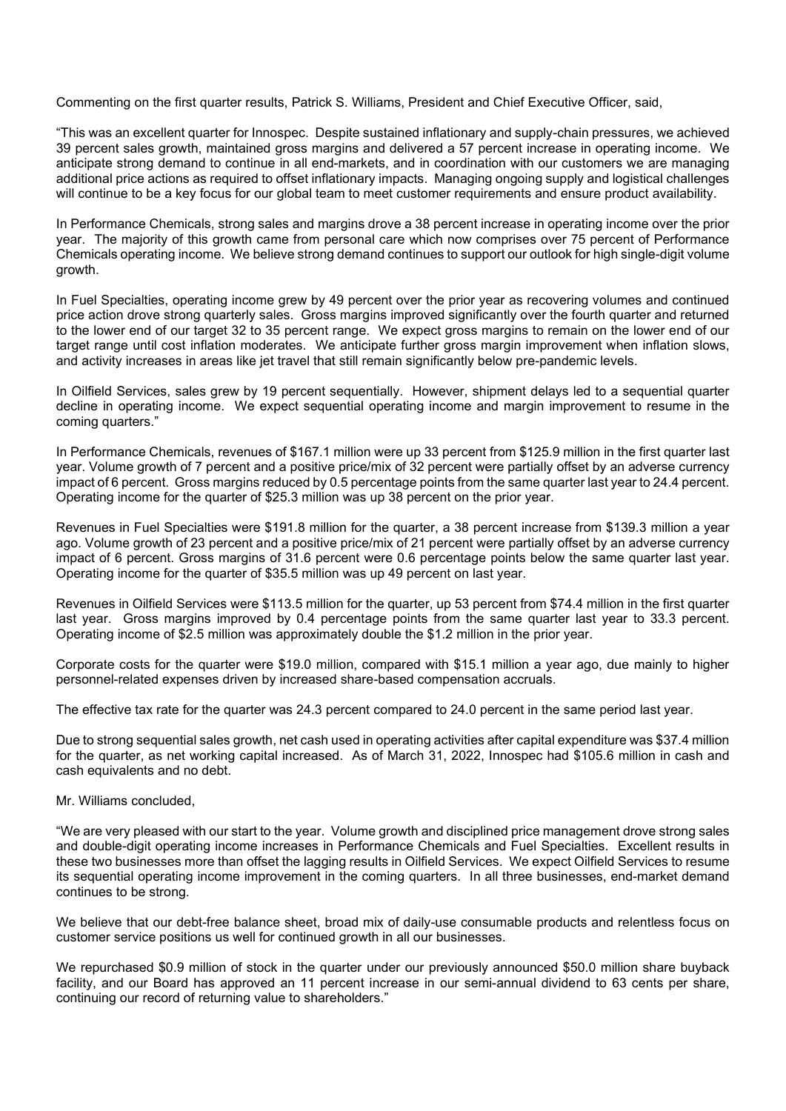Commenting on the first quarter results, Patrick S. Williams, President and Chief Executive Officer, said,

"This was an excellent quarter for Innospec. Despite sustained inflationary and supply-chain pressures, we achieved 39 percent sales growth, maintained gross margins and delivered a 57 percent increase in operating income. We anticipate strong demand to continue in all end-markets, and in coordination with our customers we are managing additional price actions as required to offset inflationary impacts. Managing ongoing supply and logistical challenges will continue to be a key focus for our global team to meet customer requirements and ensure product availability.

In Performance Chemicals, strong sales and margins drove a 38 percent increase in operating income over the prior year. The majority of this growth came from personal care which now comprises over 75 percent of Performance Chemicals operating income. We believe strong demand continues to support our outlook for high single-digit volume growth.

In Fuel Specialties, operating income grew by 49 percent over the prior year as recovering volumes and continued price action drove strong quarterly sales. Gross margins improved significantly over the fourth quarter and returned to the lower end of our target 32 to 35 percent range. We expect gross margins to remain on the lower end of our target range until cost inflation moderates. We anticipate further gross margin improvement when inflation slows, and activity increases in areas like jet travel that still remain significantly below pre-pandemic levels.

In Oilfield Services, sales grew by 19 percent sequentially. However, shipment delays led to a sequential quarter decline in operating income. We expect sequential operating income and margin improvement to resume in the coming quarters."

In Performance Chemicals, revenues of \$167.1 million were up 33 percent from \$125.9 million in the first quarter last year. Volume growth of 7 percent and a positive price/mix of 32 percent were partially offset by an adverse currency impact of 6 percent. Gross margins reduced by 0.5 percentage points from the same quarter last year to 24.4 percent. Operating income for the quarter of \$25.3 million was up 38 percent on the prior year.

Revenues in Fuel Specialties were \$191.8 million for the quarter, a 38 percent increase from \$139.3 million a year ago. Volume growth of 23 percent and a positive price/mix of 21 percent were partially offset by an adverse currency impact of 6 percent. Gross margins of 31.6 percent were 0.6 percentage points below the same quarter last year. Operating income for the quarter of \$35.5 million was up 49 percent on last year.

Revenues in Oilfield Services were \$113.5 million for the quarter, up 53 percent from \$74.4 million in the first quarter last year. Gross margins improved by 0.4 percentage points from the same quarter last year to 33.3 percent. Operating income of \$2.5 million was approximately double the \$1.2 million in the prior year.

Corporate costs for the quarter were \$19.0 million, compared with \$15.1 million a year ago, due mainly to higher personnel-related expenses driven by increased share-based compensation accruals.

The effective tax rate for the quarter was 24.3 percent compared to 24.0 percent in the same period last year.

Due to strong sequential sales growth, net cash used in operating activities after capital expenditure was \$37.4 million for the quarter, as net working capital increased. As of March 31, 2022, Innospec had \$105.6 million in cash and cash equivalents and no debt.

Mr. Williams concluded,

"We are very pleased with our start to the year. Volume growth and disciplined price management drove strong sales and double-digit operating income increases in Performance Chemicals and Fuel Specialties. Excellent results in these two businesses more than offset the lagging results in Oilfield Services. We expect Oilfield Services to resume its sequential operating income improvement in the coming quarters. In all three businesses, end-market demand continues to be strong.

We believe that our debt-free balance sheet, broad mix of daily-use consumable products and relentless focus on customer service positions us well for continued growth in all our businesses.

We repurchased \$0.9 million of stock in the quarter under our previously announced \$50.0 million share buyback facility, and our Board has approved an 11 percent increase in our semi-annual dividend to 63 cents per share, continuing our record of returning value to shareholders."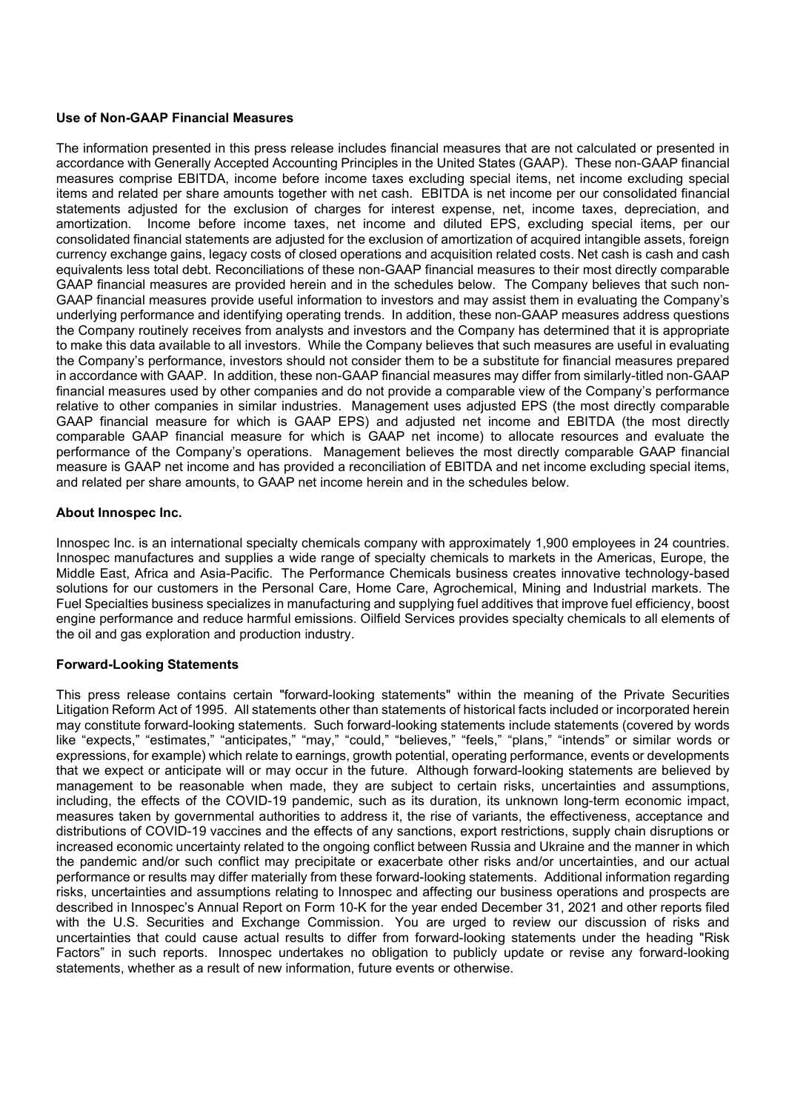#### **Use of Non-GAAP Financial Measures**

The information presented in this press release includes financial measures that are not calculated or presented in accordance with Generally Accepted Accounting Principles in the United States (GAAP). These non-GAAP financial measures comprise EBITDA, income before income taxes excluding special items, net income excluding special items and related per share amounts together with net cash. EBITDA is net income per our consolidated financial statements adjusted for the exclusion of charges for interest expense, net, income taxes, depreciation, and amortization. Income before income taxes, net income and diluted EPS, excluding special items, per our consolidated financial statements are adjusted for the exclusion of amortization of acquired intangible assets, foreign currency exchange gains, legacy costs of closed operations and acquisition related costs. Net cash is cash and cash equivalents less total debt. Reconciliations of these non-GAAP financial measures to their most directly comparable GAAP financial measures are provided herein and in the schedules below. The Company believes that such non-GAAP financial measures provide useful information to investors and may assist them in evaluating the Company's underlying performance and identifying operating trends. In addition, these non-GAAP measures address questions the Company routinely receives from analysts and investors and the Company has determined that it is appropriate to make this data available to all investors. While the Company believes that such measures are useful in evaluating the Company's performance, investors should not consider them to be a substitute for financial measures prepared in accordance with GAAP. In addition, these non-GAAP financial measures may differ from similarly-titled non-GAAP financial measures used by other companies and do not provide a comparable view of the Company's performance relative to other companies in similar industries. Management uses adjusted EPS (the most directly comparable GAAP financial measure for which is GAAP EPS) and adjusted net income and EBITDA (the most directly comparable GAAP financial measure for which is GAAP net income) to allocate resources and evaluate the performance of the Company's operations. Management believes the most directly comparable GAAP financial measure is GAAP net income and has provided a reconciliation of EBITDA and net income excluding special items, and related per share amounts, to GAAP net income herein and in the schedules below.

### **About Innospec Inc.**

Innospec Inc. is an international specialty chemicals company with approximately 1,900 employees in 24 countries. Innospec manufactures and supplies a wide range of specialty chemicals to markets in the Americas, Europe, the Middle East, Africa and Asia-Pacific. The Performance Chemicals business creates innovative technology-based solutions for our customers in the Personal Care, Home Care, Agrochemical, Mining and Industrial markets. The Fuel Specialties business specializes in manufacturing and supplying fuel additives that improve fuel efficiency, boost engine performance and reduce harmful emissions. Oilfield Services provides specialty chemicals to all elements of the oil and gas exploration and production industry.

#### **Forward-Looking Statements**

This press release contains certain "forward-looking statements" within the meaning of the Private Securities Litigation Reform Act of 1995. All statements other than statements of historical facts included or incorporated herein may constitute forward-looking statements. Such forward-looking statements include statements (covered by words like "expects," "estimates," "anticipates," "may," "could," "believes," "feels," "plans," "intends" or similar words or expressions, for example) which relate to earnings, growth potential, operating performance, events or developments that we expect or anticipate will or may occur in the future. Although forward-looking statements are believed by management to be reasonable when made, they are subject to certain risks, uncertainties and assumptions, including, the effects of the COVID-19 pandemic, such as its duration, its unknown long-term economic impact, measures taken by governmental authorities to address it, the rise of variants, the effectiveness, acceptance and distributions of COVID-19 vaccines and the effects of any sanctions, export restrictions, supply chain disruptions or increased economic uncertainty related to the ongoing conflict between Russia and Ukraine and the manner in which the pandemic and/or such conflict may precipitate or exacerbate other risks and/or uncertainties, and our actual performance or results may differ materially from these forward-looking statements. Additional information regarding risks, uncertainties and assumptions relating to Innospec and affecting our business operations and prospects are described in Innospec's Annual Report on Form 10-K for the year ended December 31, 2021 and other reports filed with the U.S. Securities and Exchange Commission. You are urged to review our discussion of risks and uncertainties that could cause actual results to differ from forward-looking statements under the heading "Risk Factors" in such reports. Innospec undertakes no obligation to publicly update or revise any forward-looking statements, whether as a result of new information, future events or otherwise.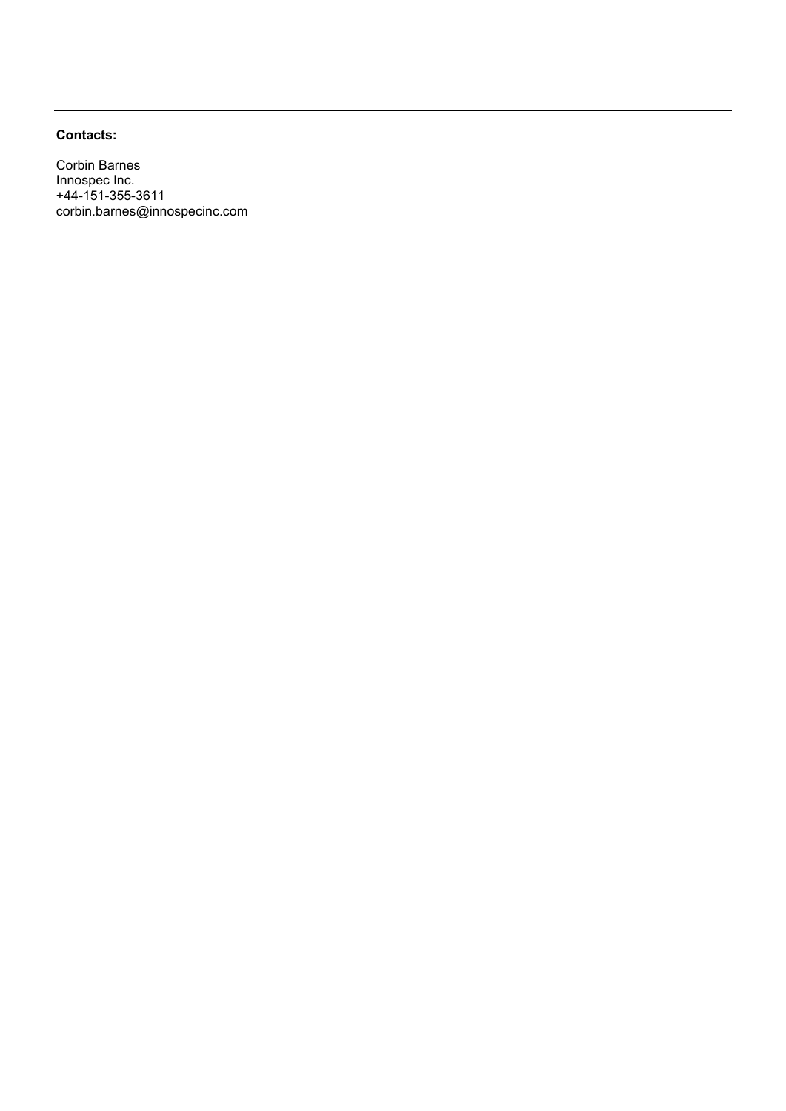## **Contacts:**

Corbin Barnes Innospec Inc. +44-151-355-3611 corbin.barnes@innospecinc.com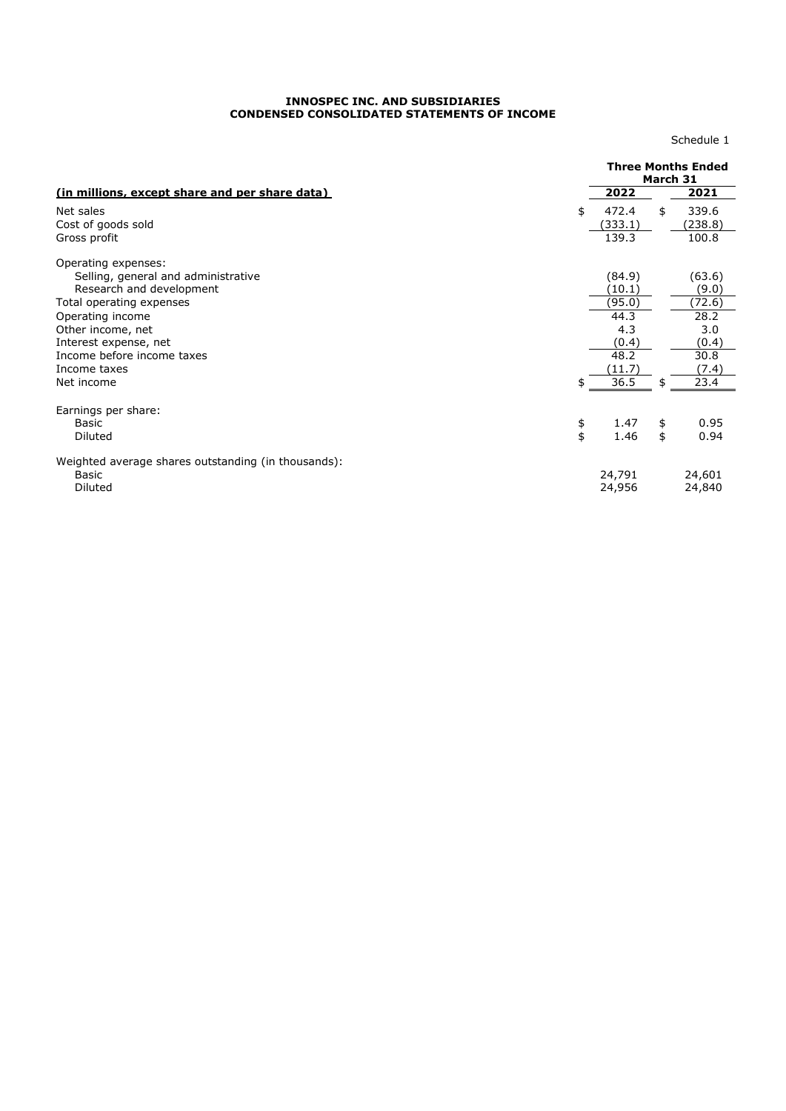#### **INNOSPEC INC. AND SUBSIDIARIES CONDENSED CONSOLIDATED STATEMENTS OF INCOME**

Schedule 1

|                                                              | <b>Three Months Ended</b><br>March 31 |                  |          |                  |
|--------------------------------------------------------------|---------------------------------------|------------------|----------|------------------|
| (in millions, except share and per share data)               |                                       | 2022             |          | 2021             |
| Net sales<br>Cost of goods sold                              | \$                                    | 472.4<br>(333.1) | \$       | 339.6<br>(238.8) |
| Gross profit                                                 |                                       | 139.3            |          | 100.8            |
| Operating expenses:<br>Selling, general and administrative   |                                       | (84.9)           |          | (63.6)           |
| Research and development                                     |                                       | (10.1)           |          | (9.0)            |
| Total operating expenses                                     |                                       | (95.0)           |          | (72.6)           |
| Operating income                                             |                                       | 44.3             |          | 28.2             |
| Other income, net                                            |                                       | 4.3              |          | 3.0              |
| Interest expense, net                                        |                                       | (0.4)            |          | (0.4)            |
| Income before income taxes                                   |                                       | 48.2             |          | 30.8             |
| Income taxes                                                 |                                       | (11.7)           |          | (7.4)            |
| Net income                                                   | \$                                    | 36.5             | \$       | 23.4             |
| Earnings per share:                                          |                                       |                  |          |                  |
| Basic                                                        | \$<br>\$                              | 1.47<br>1.46     | \$<br>\$ | 0.95<br>0.94     |
| Diluted                                                      |                                       |                  |          |                  |
| Weighted average shares outstanding (in thousands):<br>Basic |                                       | 24,791           |          | 24,601           |
| Diluted                                                      |                                       | 24,956           |          | 24,840           |
|                                                              |                                       |                  |          |                  |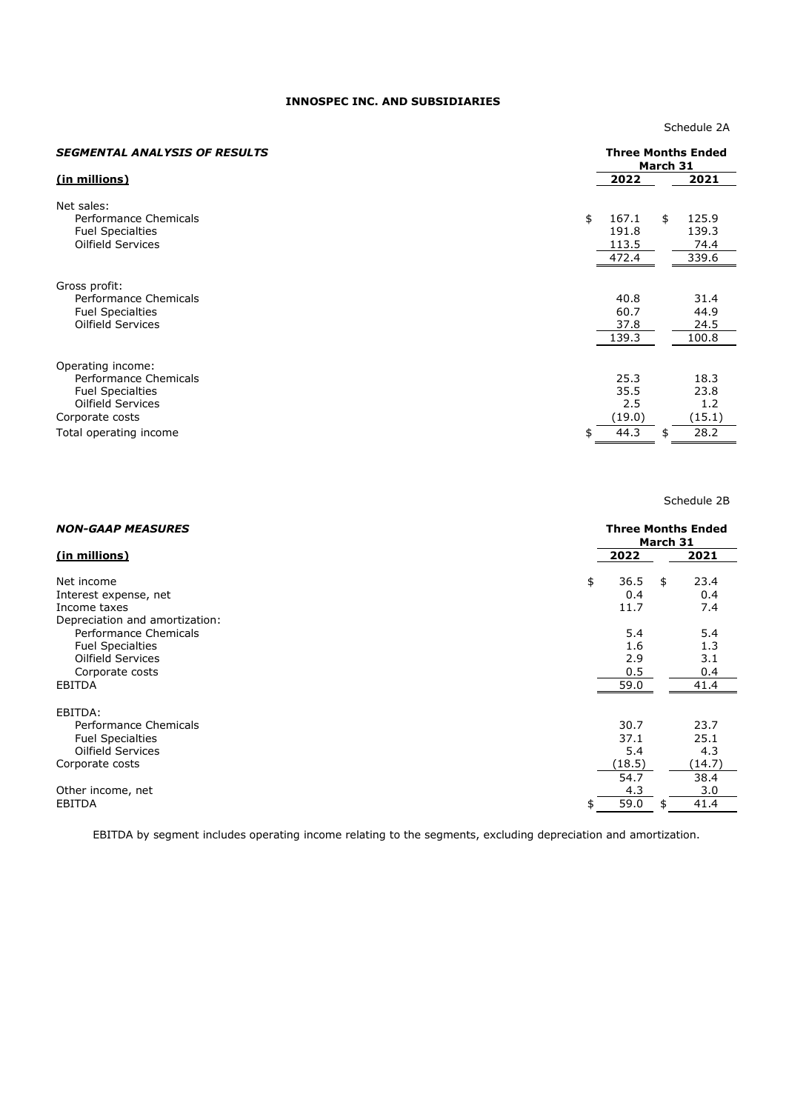#### **INNOSPEC INC. AND SUBSIDIARIES**

Schedule 2A

| <b>SEGMENTAL ANALYSIS OF RESULTS</b>                                                                                                    |    | <b>Three Months Ended</b><br>March 31 |    |                                       |  |
|-----------------------------------------------------------------------------------------------------------------------------------------|----|---------------------------------------|----|---------------------------------------|--|
| (in millions)                                                                                                                           |    | 2022                                  |    | 2021                                  |  |
| Net sales:<br>Performance Chemicals<br><b>Fuel Specialties</b><br>Oilfield Services                                                     | \$ | 167.1<br>191.8<br>113.5<br>472.4      | \$ | 125.9<br>139.3<br>74.4<br>339.6       |  |
| Gross profit:<br>Performance Chemicals<br><b>Fuel Specialties</b><br>Oilfield Services                                                  |    | 40.8<br>60.7<br>37.8<br>139.3         |    | 31.4<br>44.9<br>24.5<br>100.8         |  |
| Operating income:<br>Performance Chemicals<br><b>Fuel Specialties</b><br>Oilfield Services<br>Corporate costs<br>Total operating income | \$ | 25.3<br>35.5<br>2.5<br>(19.0)<br>44.3 | \$ | 18.3<br>23.8<br>1.2<br>(15.1)<br>28.2 |  |

Schedule 2B

| <b>NON-GAAP MEASURES</b>                                                                 |    |                          | <b>Three Months Ended</b><br>March 31 |                          |  |  |  |
|------------------------------------------------------------------------------------------|----|--------------------------|---------------------------------------|--------------------------|--|--|--|
| (in millions)                                                                            |    | 2022                     |                                       | 2021                     |  |  |  |
| Net income<br>Interest expense, net<br>Income taxes<br>Depreciation and amortization:    | \$ | 36.5<br>0.4<br>11.7      | \$                                    | 23.4<br>0.4<br>7.4       |  |  |  |
| Performance Chemicals<br><b>Fuel Specialties</b><br>Oilfield Services<br>Corporate costs |    | 5.4<br>1.6<br>2.9<br>0.5 |                                       | 5.4<br>1.3<br>3.1<br>0.4 |  |  |  |
| EBITDA                                                                                   |    | 59.0                     |                                       | 41.4                     |  |  |  |
| EBITDA:<br>Performance Chemicals<br><b>Fuel Specialties</b><br>Oilfield Services         |    | 30.7<br>37.1<br>5.4      |                                       | 23.7<br>25.1<br>4.3      |  |  |  |
| Corporate costs<br>Other income, net                                                     |    | (18.5)<br>54.7<br>4.3    |                                       | (14.7)<br>38.4<br>3.0    |  |  |  |
| <b>EBITDA</b>                                                                            | \$ | 59.0                     | \$                                    | 41.4                     |  |  |  |

EBITDA by segment includes operating income relating to the segments, excluding depreciation and amortization.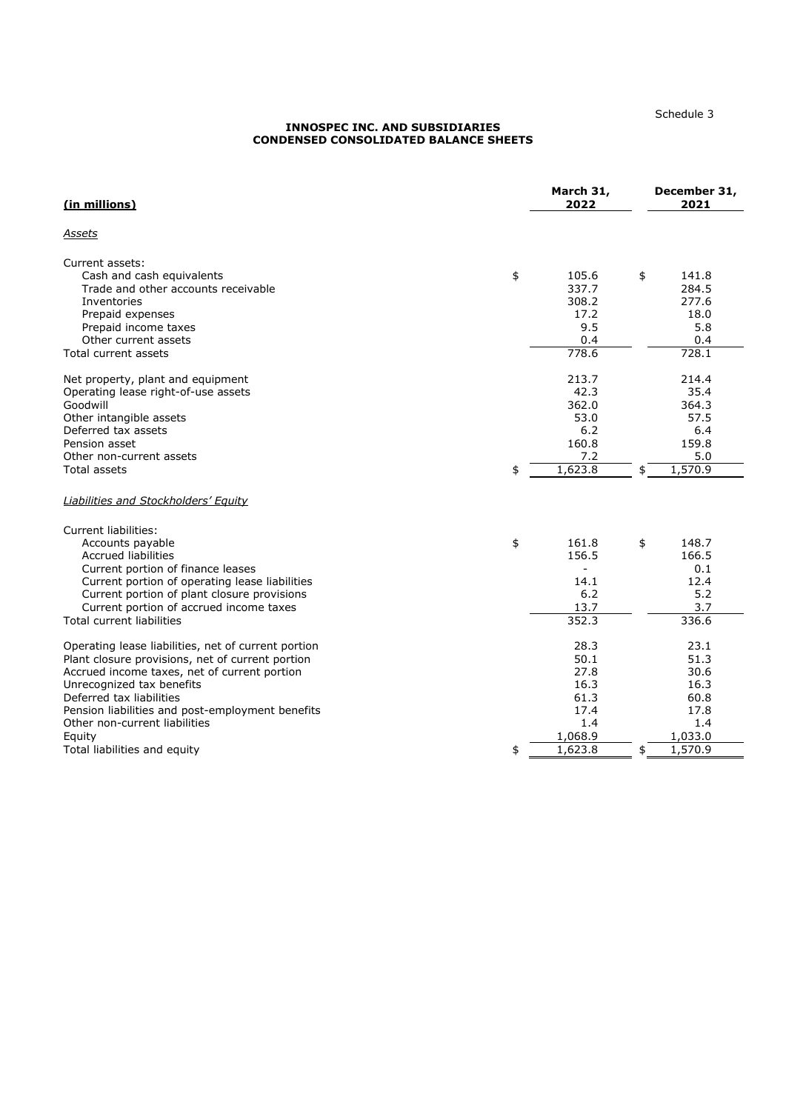Schedule 3

#### **INNOSPEC INC. AND SUBSIDIARIES CONDENSED CONSOLIDATED BALANCE SHEETS**

| (in millions)                                       | March 31,<br>2022        | December 31,<br>2021 |
|-----------------------------------------------------|--------------------------|----------------------|
| <u>Assets</u>                                       |                          |                      |
| Current assets:                                     |                          |                      |
| Cash and cash equivalents                           | \$<br>105.6              | \$<br>141.8          |
| Trade and other accounts receivable<br>Inventories  | 337.7<br>308.2           | 284.5<br>277.6       |
| Prepaid expenses                                    | 17.2                     | 18.0                 |
| Prepaid income taxes                                | 9.5                      | 5.8                  |
| Other current assets                                | 0.4                      | 0.4                  |
| Total current assets                                | 778.6                    | 728.1                |
| Net property, plant and equipment                   | 213.7                    | 214.4                |
| Operating lease right-of-use assets                 | 42.3                     | 35.4                 |
| Goodwill                                            | 362.0                    | 364.3                |
| Other intangible assets                             | 53.0                     | 57.5                 |
| Deferred tax assets                                 | 6.2                      | 6.4                  |
| Pension asset                                       | 160.8                    | 159.8                |
| Other non-current assets                            | 7.2                      | 5.0                  |
| <b>Total assets</b>                                 | \$<br>1,623.8            | \$<br>1,570.9        |
| <b>Liabilities and Stockholders' Equity</b>         |                          |                      |
| <b>Current liabilities:</b>                         |                          |                      |
| Accounts payable                                    | \$<br>161.8              | \$<br>148.7          |
| <b>Accrued liabilities</b>                          | 156.5                    | 166.5                |
| Current portion of finance leases                   | $\blacksquare$           | 0.1                  |
| Current portion of operating lease liabilities      | 14.1                     | 12.4                 |
| Current portion of plant closure provisions         | 6.2                      | 5.2                  |
| Current portion of accrued income taxes             | 13.7                     | 3.7                  |
| <b>Total current liabilities</b>                    | 352.3                    | 336.6                |
| Operating lease liabilities, net of current portion | 28.3                     | 23.1                 |
| Plant closure provisions, net of current portion    | 50.1                     | 51.3                 |
| Accrued income taxes, net of current portion        | 27.8                     | 30.6                 |
| Unrecognized tax benefits                           | 16.3                     | 16.3                 |
| Deferred tax liabilities                            | 61.3                     | 60.8                 |
| Pension liabilities and post-employment benefits    | 17.4                     | 17.8                 |
| Other non-current liabilities                       | 1.4                      | 1.4                  |
| Equity<br>Total liabilities and equity              | \$<br>1,068.9<br>1,623.8 | 1,033.0<br>1,570.9   |
|                                                     |                          |                      |